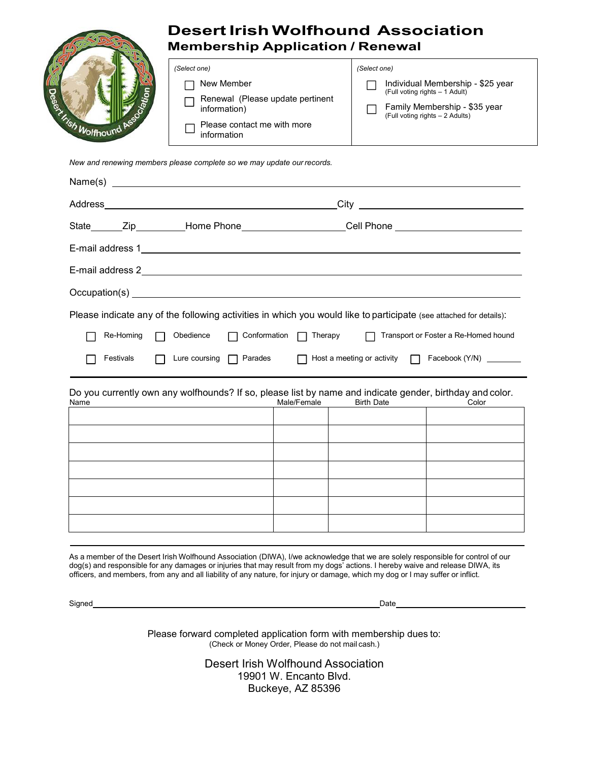# **Desert Irish Wolfhound Association Membership Application / Renewal**



#### *(Select one)*

|  | Individual Membership - \$25 year<br>(Full voting rights – 1 Adult) |
|--|---------------------------------------------------------------------|
|--|---------------------------------------------------------------------|

Family Membership - \$35 year П (Full voting rights – 2 Adults)

*New and renewing members please complete so we may update our records.*

*(Select one)* 

Г

Г

□ New Member

information)

information

Renewal (Please update pertinent

Please contact me with more

| Please indicate any of the following activities in which you would like to participate (see attached for details): |           |  |  |                                                     |  |                                                         |  |  |
|--------------------------------------------------------------------------------------------------------------------|-----------|--|--|-----------------------------------------------------|--|---------------------------------------------------------|--|--|
|                                                                                                                    | Re-Homing |  |  | Obedience $\Box$ Conformation $\Box$ Therapy $\Box$ |  | Transport or Foster a Re-Homed hound                    |  |  |
|                                                                                                                    | Festivals |  |  | Lure coursing $\Box$ Parades $\Box$                 |  | Host a meeting or activity $\Box$ Facebook (Y/N) $\Box$ |  |  |

Do you currently own any wolfhounds? If so, please list by name and indicate gender, birthday and color.

| Name | Male/Female | <b>Birth Date</b> | Color |
|------|-------------|-------------------|-------|
|      |             |                   |       |
|      |             |                   |       |
|      |             |                   |       |
|      |             |                   |       |
|      |             |                   |       |
|      |             |                   |       |
|      |             |                   |       |
|      |             |                   |       |

As a member of the Desert Irish Wolfhound Association (DIWA), I/we acknowledge that we are solely responsible for control of our dog(s) and responsible for any damages or injuries that may result from my dogs' actions. I hereby waive and release DIWA, its officers, and members, from any and all liability of any nature, for injury or damage, which my dog or I may suffer or inflict.

Signed Date

Please forward completed application form with membership dues to: (Check or Money Order, Please do not mail cash.)

> Desert Irish Wolfhound Association 19901 W. Encanto Blvd. Buckeye, AZ 85396